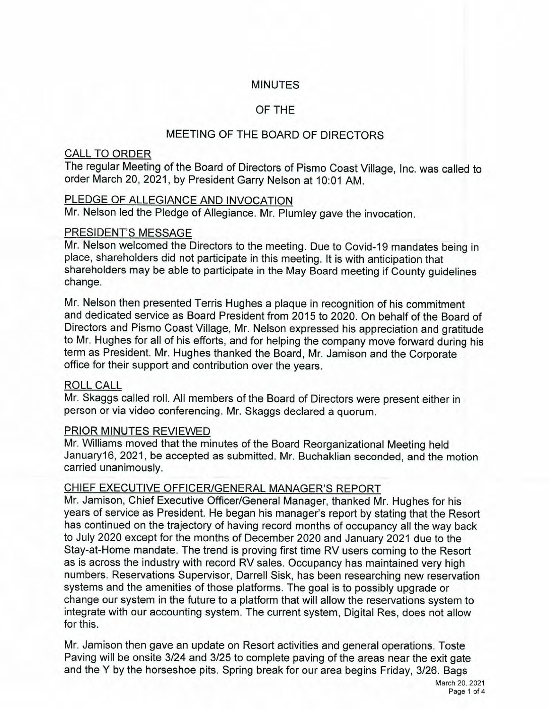## **MINUTES**

# OF THE

# MEETING OF THE BOARD OF DIRECTORS

## **CALL TO ORDER**

The regular Meeting of the Board of Directors of Pismo Coast Village, Inc. was called to order March 20, 2021, by President Garry Nelson at 10:01 AM.

# PLEDGE OF ALLEGIANCE AND INVOCATION

Mr. Nelson led the Pledge of Allegiance. Mr. Plumley gave the invocation.

## PRESIDENT'S MESSAGE

Mr. Nelson welcomed the Directors to the meeting. Due to Covid-19 mandates being in place, shareholders did not participate in this meeting. It is with anticipation that shareholders may be able to participate in the May Board meeting if County guidelines change.

Mr. Nelson then presented Terris Hughes a plaque in recognition of his commitment and dedicated service as Board President from 2015 to 2020. On behalf of the Board of Directors and Pismo Coast Village, Mr. Nelson expressed his appreciation and gratitude to Mr. Hughes for all of his efforts, and for helping the company move forward during his term as President. Mr. Hughes thanked the Board, Mr. Jamison and the Corporate office for their support and contribution over the years.

# **ROLL CALL**

Mr. Skaggs called roll. All members of the Board of Directors were present either in person or via video conferencing. Mr. Skaggs declared a quorum.

# PRIOR MINUTES REVIEWED

Mr. Williams moved that the minutes of the Board Reorganizational Meeting held January16, 2021, be accepted as submitted. Mr. Buchaklian seconded, and the motion carried unanimously.

# CHIEF EXECUTIVE OFFICER/GENERAL MANAGER'S REPORT

Mr. Jamison, Chief Executive Officer/General Manager, thanked Mr. Hughes for his years of service as President. He began his manager's report by stating that the Resort has continued on the trajectory of having record months of occupancy all the way back to July 2020 except for the months of December 2020 and January 2021 due to the Stay-at-Home mandate. The trend is proving first time RV users coming to the Resort as is across the industry with record RV sales. Occupancy has maintained very high numbers. Reservations Supervisor, Darrell Sisk, has been researching new reservation systems and the amenities of those platforms. The goal is to possibly upgrade or change our system in the future to a platform that will allow the reservations system to integrate with our accounting system. The current system, Digital Res, does not allow for this.

Mr. Jamison then gave an update on Resort activities and general operations. Toste Paving will be onsite 3/24 and 3/25 to complete paving of the areas near the exit gate and the Y by the horseshoe pits. Spring break for our area begins Friday, 3/26. Bags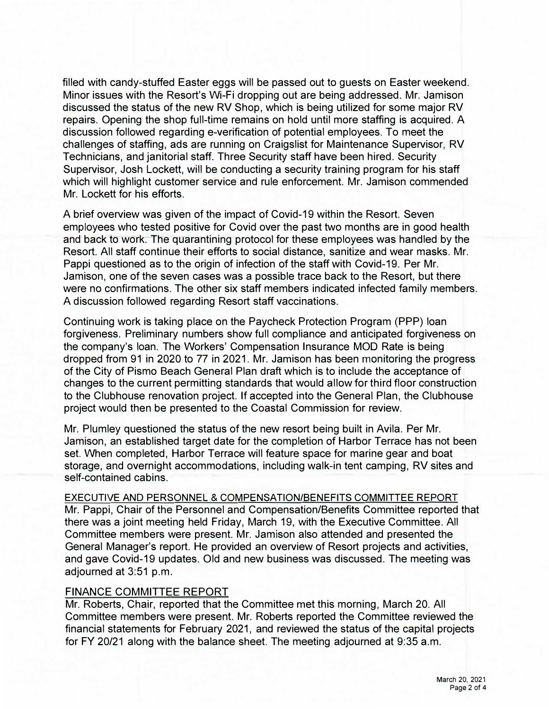filled with candy-stuffed Easter eggs will be passed out to guests on Easter weekend. Minor issues with the Resort's Wi-Fi dropping out are being addressed. Mr. Jamison discussed the status of the new RV Shop, which is being utilized for some major RV repairs. Opening the shop full-time remains on hold until more staffing is acquired. A discussion followed regarding e-verification of potential employees. To meet the challenges of staffing, ads are running on Craigslist for Maintenance Supervisor, RV Technicians, and janitorial staff. Three Security staff have been hired. Security Supervisor, Josh Lockett, will be conducting a security training program for his staff which will highlight customer service and rule enforcement. Mr. Jamison commended Mr. Lockett for his efforts.

A brief overview was given of the impact of Covid-19 within the Resort. Seven employees who tested positive for Covid over the past two months are in good health and back to work. The quarantining protocol for these employees was handled by the Resort. All staff continue their efforts to social distance, sanitize and wear masks. Mr. Pappi questioned as to the origin of infection of the staff with Covid-19. Per Mr. Jamison, one of the seven cases was a possible trace back to the Resort, but there were no confirmations. The other six staff members indicated infected family members. A discussion followed regarding Resort staff vaccinations.

Continuing work is taking place on the Paycheck Protection Program (PPP) loan forgiveness. Preliminary numbers show full compliance and anticipated forgiveness on the company's loan. The Workers' Compensation Insurance MOD Rate is being dropped from 91 in 2020 to 77 in 2021. Mr. Jamison has been monitoring the progress of the City of Pismo Beach General Plan draft which is to include the acceptance of changes to the current permitting standards that would allow for third floor construction to the Clubhouse renovation project. If accepted into the General Plan, the Clubhouse project would then be presented to the Coastal Commission for review.

Mr. Plumley questioned the status of the new resort being built in Avila. Per Mr. Jamison, an established target date for the completion of Harbor Terrace has not been set. When completed, Harbor Terrace will feature space for marine gear and boat storage, and overnight accommodations, including walk-in tent camping, RV sites and self-contained cabins.

EXECUTIVE AND PERSONNEL & COMPENSATION/BENEFITS COMMITTEE REPORT Mr. Pappi, Chair of the Personnel and Compensation/Benefits Committee reported that there was a joint meeting held Friday, March 19, with the Executive Committee. All Committee members were present. Mr. Jamison also attended and presented the General Manager's report. He provided an overview of Resort projects and activities, and gave Covid-19 updates. Old and new business was discussed. The meeting was adjourned at 3:51 p.m.

#### FINANCE COMMITTEE REPORT

Mr. Roberts, Chair, reported that the Committee met this morning, March 20. All Committee members were present. Mr. Roberts reported the Committee reviewed the financial statements for February 2021, and reviewed the status of the capital projects for FY 20/21 along with the balance sheet. The meeting adjourned at 9:35 a.m.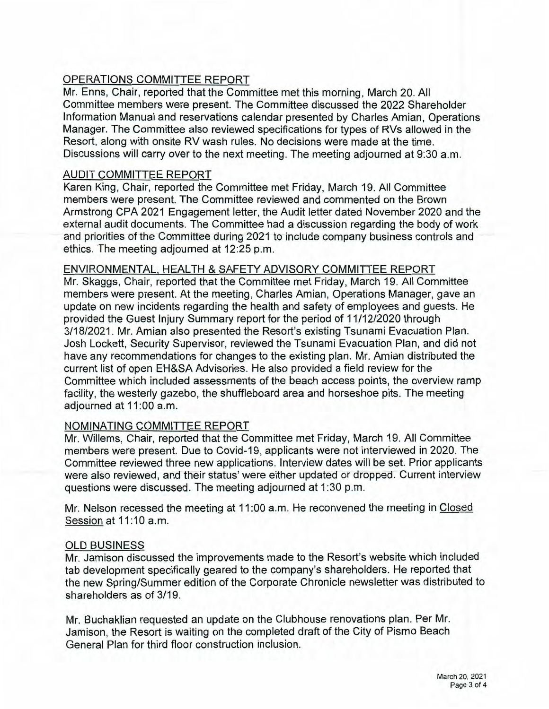# OPERATIONS COMMITTEE REPORT

Mr. Enns, Chair, reported that the Committee met this morning, March 20. All Committee members were present. The Committee discussed the 2022 Shareholder Information Manual and reservations calendar presented by Charles Amian, Operations Manager. The Committee also reviewed specifications for types of RVs allowed in the Resort, along with onsite RV wash rules. No decisions were made at the time. Discussions will carry over to the next meeting. The meeting adjourned at 9:30 a.m.

### **AUDIT COMMITTEE REPORT**

Karen King, Chair, reported the Committee met Friday, March 19. All Committee members were present. The Committee reviewed and commented on the Brown Armstrong CPA 2021 Engagement letter, the Audit letter dated November 2020 and the external audit documents. The Committee had a discussion regarding the body of work and priorities of the Committee during 2021 to include company business controls and ethics. The meeting adjourned at 12:25 p.m.

### ENVIRONMENTAL, HEALTH & SAFETY ADVISORY COMMITTEE REPORT

Mr. Skaggs, Chair, reported that the Committee met Friday, March 19. All Committee members were present. At the meeting, Charles Amian, Operations Manager, gave an update on new incidents regarding the health and safety of employees and guests. He provided the Guest Injury Summary report for the period of 11/12/2020 through 3/18/2021. Mr. Amian also presented the Resort's existing Tsunami Evacuation Plan. Josh Lockett, Security Supervisor, reviewed the Tsunami Evacuation Plan, and did not have any recommendations for changes to the existing plan. Mr. Amian distributed the current list of open EH&SA Advisories. He also provided a field review for the Committee which included assessments of the beach access points, the overview ramp facility, the westerly gazebo, the shuffleboard area and horseshoe pits. The meeting adiourned at 11:00 a.m.

### NOMINATING COMMITTEE REPORT

Mr. Willems, Chair, reported that the Committee met Friday, March 19. All Committee members were present. Due to Covid-19, applicants were not interviewed in 2020. The Committee reviewed three new applications. Interview dates will be set. Prior applicants were also reviewed, and their status' were either updated or dropped. Current interview questions were discussed. The meeting adjourned at 1:30 p.m.

Mr. Nelson recessed the meeting at 11:00 a.m. He reconvened the meeting in Closed Session at 11:10 a.m.

#### **OLD BUSINESS**

Mr. Jamison discussed the improvements made to the Resort's website which included tab development specifically geared to the company's shareholders. He reported that the new Spring/Summer edition of the Corporate Chronicle newsletter was distributed to shareholders as of 3/19.

Mr. Buchaklian requested an update on the Clubhouse renovations plan. Per Mr. Jamison, the Resort is waiting on the completed draft of the City of Pismo Beach General Plan for third floor construction inclusion.